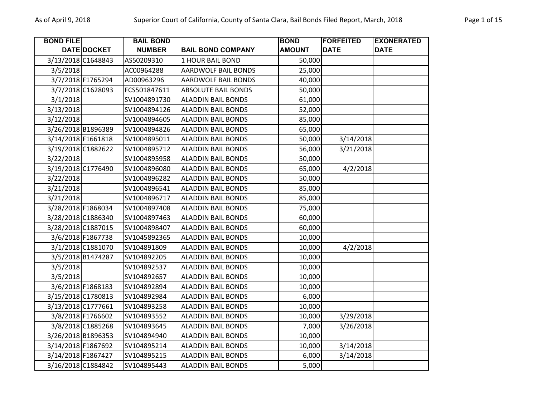| <b>BOND FILE</b> |                    | <b>BAIL BOND</b> |                           | <b>BOND</b>   | <b>FORFEITED</b> | <b>EXONERATED</b> |
|------------------|--------------------|------------------|---------------------------|---------------|------------------|-------------------|
|                  | DATE DOCKET        | <b>NUMBER</b>    | <b>BAIL BOND COMPANY</b>  | <b>AMOUNT</b> | <b>DATE</b>      | <b>DATE</b>       |
|                  | 3/13/2018 C1648843 | AS50209310       | <b>1 HOUR BAIL BOND</b>   | 50,000        |                  |                   |
| 3/5/2018         |                    | AC00964288       | AARDWOLF BAIL BONDS       | 25,000        |                  |                   |
|                  | 3/7/2018 F1765294  | AD00963296       | AARDWOLF BAIL BONDS       | 40,000        |                  |                   |
|                  | 3/7/2018 C1628093  | FCS501847611     | ABSOLUTE BAIL BONDS       | 50,000        |                  |                   |
| 3/1/2018         |                    | SV1004891730     | <b>ALADDIN BAIL BONDS</b> | 61,000        |                  |                   |
| 3/13/2018        |                    | SV1004894126     | <b>ALADDIN BAIL BONDS</b> | 52,000        |                  |                   |
| 3/12/2018        |                    | SV1004894605     | <b>ALADDIN BAIL BONDS</b> | 85,000        |                  |                   |
|                  | 3/26/2018 B1896389 | SV1004894826     | <b>ALADDIN BAIL BONDS</b> | 65,000        |                  |                   |
|                  | 3/14/2018 F1661818 | SV1004895011     | <b>ALADDIN BAIL BONDS</b> | 50,000        | 3/14/2018        |                   |
|                  | 3/19/2018 C1882622 | SV1004895712     | <b>ALADDIN BAIL BONDS</b> | 56,000        | 3/21/2018        |                   |
| 3/22/2018        |                    | SV1004895958     | <b>ALADDIN BAIL BONDS</b> | 50,000        |                  |                   |
|                  | 3/19/2018 C1776490 | SV1004896080     | <b>ALADDIN BAIL BONDS</b> | 65,000        | 4/2/2018         |                   |
| 3/22/2018        |                    | SV1004896282     | <b>ALADDIN BAIL BONDS</b> | 50,000        |                  |                   |
| 3/21/2018        |                    | SV1004896541     | <b>ALADDIN BAIL BONDS</b> | 85,000        |                  |                   |
| 3/21/2018        |                    | SV1004896717     | <b>ALADDIN BAIL BONDS</b> | 85,000        |                  |                   |
|                  | 3/28/2018 F1868034 | SV1004897408     | <b>ALADDIN BAIL BONDS</b> | 75,000        |                  |                   |
|                  | 3/28/2018 C1886340 | SV1004897463     | <b>ALADDIN BAIL BONDS</b> | 60,000        |                  |                   |
|                  | 3/28/2018 C1887015 | SV1004898407     | <b>ALADDIN BAIL BONDS</b> | 60,000        |                  |                   |
|                  | 3/6/2018 F1867738  | SV1045892365     | <b>ALADDIN BAIL BONDS</b> | 10,000        |                  |                   |
|                  | 3/1/2018 C1881070  | SV104891809      | <b>ALADDIN BAIL BONDS</b> | 10,000        | 4/2/2018         |                   |
|                  | 3/5/2018 B1474287  | SV104892205      | <b>ALADDIN BAIL BONDS</b> | 10,000        |                  |                   |
| 3/5/2018         |                    | SV104892537      | <b>ALADDIN BAIL BONDS</b> | 10,000        |                  |                   |
| 3/5/2018         |                    | SV104892657      | <b>ALADDIN BAIL BONDS</b> | 10,000        |                  |                   |
|                  | 3/6/2018 F1868183  | SV104892894      | <b>ALADDIN BAIL BONDS</b> | 10,000        |                  |                   |
|                  | 3/15/2018 C1780813 | SV104892984      | <b>ALADDIN BAIL BONDS</b> | 6,000         |                  |                   |
|                  | 3/13/2018 C1777661 | SV104893258      | <b>ALADDIN BAIL BONDS</b> | 10,000        |                  |                   |
|                  | 3/8/2018 F1766602  | SV104893552      | <b>ALADDIN BAIL BONDS</b> | 10,000        | 3/29/2018        |                   |
|                  | 3/8/2018 C1885268  | SV104893645      | <b>ALADDIN BAIL BONDS</b> | 7,000         | 3/26/2018        |                   |
|                  | 3/26/2018 B1896353 | SV104894940      | <b>ALADDIN BAIL BONDS</b> | 10,000        |                  |                   |
|                  | 3/14/2018 F1867692 | SV104895214      | <b>ALADDIN BAIL BONDS</b> | 10,000        | 3/14/2018        |                   |
|                  | 3/14/2018 F1867427 | SV104895215      | <b>ALADDIN BAIL BONDS</b> | 6,000         | 3/14/2018        |                   |
|                  | 3/16/2018 C1884842 | SV104895443      | <b>ALADDIN BAIL BONDS</b> | 5,000         |                  |                   |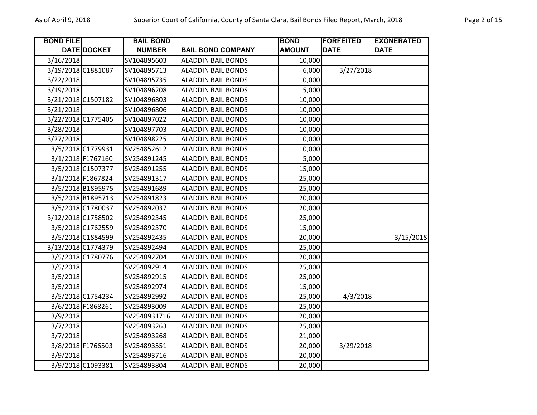| <b>BOND FILE</b> |                    | <b>BAIL BOND</b> |                           | <b>BOND</b>   | <b>FORFEITED</b> | <b>EXONERATED</b> |
|------------------|--------------------|------------------|---------------------------|---------------|------------------|-------------------|
|                  | DATE DOCKET        | <b>NUMBER</b>    | <b>BAIL BOND COMPANY</b>  | <b>AMOUNT</b> | <b>DATE</b>      | <b>DATE</b>       |
| 3/16/2018        |                    | SV104895603      | <b>ALADDIN BAIL BONDS</b> | 10,000        |                  |                   |
|                  | 3/19/2018 C1881087 | SV104895713      | <b>ALADDIN BAIL BONDS</b> | 6,000         | 3/27/2018        |                   |
| 3/22/2018        |                    | SV104895735      | <b>ALADDIN BAIL BONDS</b> | 10,000        |                  |                   |
| 3/19/2018        |                    | SV104896208      | <b>ALADDIN BAIL BONDS</b> | 5,000         |                  |                   |
|                  | 3/21/2018 C1507182 | SV104896803      | <b>ALADDIN BAIL BONDS</b> | 10,000        |                  |                   |
| 3/21/2018        |                    | SV104896806      | <b>ALADDIN BAIL BONDS</b> | 10,000        |                  |                   |
|                  | 3/22/2018 C1775405 | SV104897022      | <b>ALADDIN BAIL BONDS</b> | 10,000        |                  |                   |
| 3/28/2018        |                    | SV104897703      | <b>ALADDIN BAIL BONDS</b> | 10,000        |                  |                   |
| 3/27/2018        |                    | SV104898225      | <b>ALADDIN BAIL BONDS</b> | 10,000        |                  |                   |
|                  | 3/5/2018 C1779931  | SV254852612      | <b>ALADDIN BAIL BONDS</b> | 10,000        |                  |                   |
|                  | 3/1/2018 F1767160  | SV254891245      | <b>ALADDIN BAIL BONDS</b> | 5,000         |                  |                   |
|                  | 3/5/2018 C1507377  | SV254891255      | <b>ALADDIN BAIL BONDS</b> | 15,000        |                  |                   |
|                  | 3/1/2018 F1867824  | SV254891317      | <b>ALADDIN BAIL BONDS</b> | 25,000        |                  |                   |
|                  | 3/5/2018 B1895975  | SV254891689      | <b>ALADDIN BAIL BONDS</b> | 25,000        |                  |                   |
|                  | 3/5/2018 B1895713  | SV254891823      | <b>ALADDIN BAIL BONDS</b> | 20,000        |                  |                   |
|                  | 3/5/2018 C1780037  | SV254892037      | <b>ALADDIN BAIL BONDS</b> | 20,000        |                  |                   |
|                  | 3/12/2018 C1758502 | SV254892345      | <b>ALADDIN BAIL BONDS</b> | 25,000        |                  |                   |
|                  | 3/5/2018 C1762559  | SV254892370      | <b>ALADDIN BAIL BONDS</b> | 15,000        |                  |                   |
|                  | 3/5/2018 C1884599  | SV254892435      | <b>ALADDIN BAIL BONDS</b> | 20,000        |                  | 3/15/2018         |
|                  | 3/13/2018 C1774379 | SV254892494      | <b>ALADDIN BAIL BONDS</b> | 25,000        |                  |                   |
|                  | 3/5/2018 C1780776  | SV254892704      | <b>ALADDIN BAIL BONDS</b> | 20,000        |                  |                   |
| 3/5/2018         |                    | SV254892914      | <b>ALADDIN BAIL BONDS</b> | 25,000        |                  |                   |
| 3/5/2018         |                    | SV254892915      | <b>ALADDIN BAIL BONDS</b> | 25,000        |                  |                   |
| 3/5/2018         |                    | SV254892974      | <b>ALADDIN BAIL BONDS</b> | 15,000        |                  |                   |
|                  | 3/5/2018 C1754234  | SV254892992      | <b>ALADDIN BAIL BONDS</b> | 25,000        | 4/3/2018         |                   |
|                  | 3/6/2018 F1868261  | SV254893009      | <b>ALADDIN BAIL BONDS</b> | 25,000        |                  |                   |
| 3/9/2018         |                    | SV2548931716     | <b>ALADDIN BAIL BONDS</b> | 20,000        |                  |                   |
| 3/7/2018         |                    | SV254893263      | <b>ALADDIN BAIL BONDS</b> | 25,000        |                  |                   |
| 3/7/2018         |                    | SV254893268      | <b>ALADDIN BAIL BONDS</b> | 21,000        |                  |                   |
|                  | 3/8/2018 F1766503  | SV254893551      | <b>ALADDIN BAIL BONDS</b> | 20,000        | 3/29/2018        |                   |
| 3/9/2018         |                    | SV254893716      | <b>ALADDIN BAIL BONDS</b> | 20,000        |                  |                   |
|                  | 3/9/2018 C1093381  | SV254893804      | <b>ALADDIN BAIL BONDS</b> | 20,000        |                  |                   |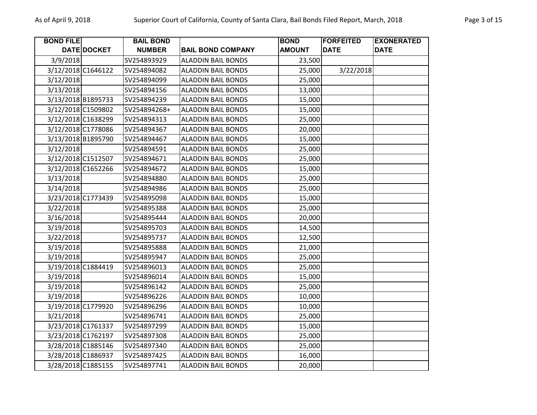| <b>BOND FILE</b> |                    | <b>BAIL BOND</b> |                           | <b>BOND</b>   | <b>FORFEITED</b> | <b>EXONERATED</b> |
|------------------|--------------------|------------------|---------------------------|---------------|------------------|-------------------|
|                  | DATE DOCKET        | <b>NUMBER</b>    | <b>BAIL BOND COMPANY</b>  | <b>AMOUNT</b> | <b>DATE</b>      | <b>DATE</b>       |
| 3/9/2018         |                    | SV254893929      | <b>ALADDIN BAIL BONDS</b> | 23,500        |                  |                   |
|                  | 3/12/2018 C1646122 | SV254894082      | <b>ALADDIN BAIL BONDS</b> | 25,000        | 3/22/2018        |                   |
| 3/12/2018        |                    | SV254894099      | <b>ALADDIN BAIL BONDS</b> | 25,000        |                  |                   |
| 3/13/2018        |                    | SV254894156      | <b>ALADDIN BAIL BONDS</b> | 13,000        |                  |                   |
|                  | 3/13/2018 B1895733 | SV254894239      | <b>ALADDIN BAIL BONDS</b> | 15,000        |                  |                   |
|                  | 3/12/2018 C1509802 | SV254894268+     | <b>ALADDIN BAIL BONDS</b> | 15,000        |                  |                   |
|                  | 3/12/2018 C1638299 | SV254894313      | <b>ALADDIN BAIL BONDS</b> | 25,000        |                  |                   |
|                  | 3/12/2018 C1778086 | SV254894367      | <b>ALADDIN BAIL BONDS</b> | 20,000        |                  |                   |
|                  | 3/13/2018 B1895790 | SV254894467      | <b>ALADDIN BAIL BONDS</b> | 15,000        |                  |                   |
| 3/12/2018        |                    | SV254894591      | <b>ALADDIN BAIL BONDS</b> | 25,000        |                  |                   |
|                  | 3/12/2018 C1512507 | SV254894671      | <b>ALADDIN BAIL BONDS</b> | 25,000        |                  |                   |
|                  | 3/12/2018 C1652266 | SV254894672      | <b>ALADDIN BAIL BONDS</b> | 15,000        |                  |                   |
| 3/13/2018        |                    | SV254894880      | <b>ALADDIN BAIL BONDS</b> | 25,000        |                  |                   |
| 3/14/2018        |                    | SV254894986      | <b>ALADDIN BAIL BONDS</b> | 25,000        |                  |                   |
|                  | 3/23/2018 C1773439 | SV254895098      | <b>ALADDIN BAIL BONDS</b> | 15,000        |                  |                   |
| 3/22/2018        |                    | SV254895388      | <b>ALADDIN BAIL BONDS</b> | 25,000        |                  |                   |
| 3/16/2018        |                    | SV254895444      | <b>ALADDIN BAIL BONDS</b> | 20,000        |                  |                   |
| 3/19/2018        |                    | SV254895703      | <b>ALADDIN BAIL BONDS</b> | 14,500        |                  |                   |
| 3/22/2018        |                    | SV254895737      | <b>ALADDIN BAIL BONDS</b> | 12,500        |                  |                   |
| 3/19/2018        |                    | SV254895888      | <b>ALADDIN BAIL BONDS</b> | 21,000        |                  |                   |
| 3/19/2018        |                    | SV254895947      | <b>ALADDIN BAIL BONDS</b> | 25,000        |                  |                   |
|                  | 3/19/2018 C1884419 | SV254896013      | <b>ALADDIN BAIL BONDS</b> | 25,000        |                  |                   |
| 3/19/2018        |                    | SV254896014      | <b>ALADDIN BAIL BONDS</b> | 15,000        |                  |                   |
| 3/19/2018        |                    | SV254896142      | <b>ALADDIN BAIL BONDS</b> | 25,000        |                  |                   |
| 3/19/2018        |                    | SV254896226      | <b>ALADDIN BAIL BONDS</b> | 10,000        |                  |                   |
|                  | 3/19/2018 C1779920 | SV254896296      | <b>ALADDIN BAIL BONDS</b> | 10,000        |                  |                   |
| 3/21/2018        |                    | SV254896741      | <b>ALADDIN BAIL BONDS</b> | 25,000        |                  |                   |
|                  | 3/23/2018 C1761337 | SV254897299      | <b>ALADDIN BAIL BONDS</b> | 15,000        |                  |                   |
|                  | 3/23/2018 C1762197 | SV254897308      | <b>ALADDIN BAIL BONDS</b> | 25,000        |                  |                   |
|                  | 3/28/2018 C1885146 | SV254897340      | <b>ALADDIN BAIL BONDS</b> | 25,000        |                  |                   |
|                  | 3/28/2018 C1886937 | SV254897425      | <b>ALADDIN BAIL BONDS</b> | 16,000        |                  |                   |
|                  | 3/28/2018 C1885155 | SV254897741      | <b>ALADDIN BAIL BONDS</b> | 20,000        |                  |                   |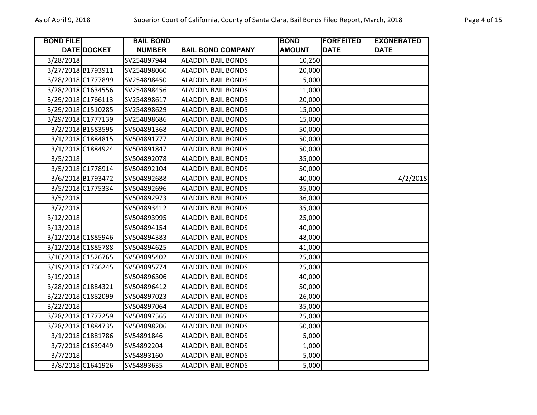| <b>BOND FILE</b>   |                    | <b>BAIL BOND</b> |                           | <b>BOND</b>   | <b>FORFEITED</b> | <b>EXONERATED</b> |
|--------------------|--------------------|------------------|---------------------------|---------------|------------------|-------------------|
|                    | <b>DATE DOCKET</b> | <b>NUMBER</b>    | <b>BAIL BOND COMPANY</b>  | <b>AMOUNT</b> | <b>DATE</b>      | <b>DATE</b>       |
| 3/28/2018          |                    | SV254897944      | <b>ALADDIN BAIL BONDS</b> | 10,250        |                  |                   |
| 3/27/2018 B1793911 |                    | SV254898060      | <b>ALADDIN BAIL BONDS</b> | 20,000        |                  |                   |
| 3/28/2018 C1777899 |                    | SV254898450      | <b>ALADDIN BAIL BONDS</b> | 15,000        |                  |                   |
| 3/28/2018 C1634556 |                    | SV254898456      | <b>ALADDIN BAIL BONDS</b> | 11,000        |                  |                   |
| 3/29/2018 C1766113 |                    | SV254898617      | <b>ALADDIN BAIL BONDS</b> | 20,000        |                  |                   |
| 3/29/2018 C1510285 |                    | SV254898629      | <b>ALADDIN BAIL BONDS</b> | 15,000        |                  |                   |
| 3/29/2018 C1777139 |                    | SV254898686      | <b>ALADDIN BAIL BONDS</b> | 15,000        |                  |                   |
|                    | 3/2/2018 B1583595  | SV504891368      | <b>ALADDIN BAIL BONDS</b> | 50,000        |                  |                   |
|                    | 3/1/2018 C1884815  | SV504891777      | <b>ALADDIN BAIL BONDS</b> | 50,000        |                  |                   |
|                    | 3/1/2018 C1884924  | SV504891847      | <b>ALADDIN BAIL BONDS</b> | 50,000        |                  |                   |
| 3/5/2018           |                    | SV504892078      | <b>ALADDIN BAIL BONDS</b> | 35,000        |                  |                   |
|                    | 3/5/2018 C1778914  | SV504892104      | <b>ALADDIN BAIL BONDS</b> | 50,000        |                  |                   |
|                    | 3/6/2018 B1793472  | SV504892688      | <b>ALADDIN BAIL BONDS</b> | 40,000        |                  | 4/2/2018          |
|                    | 3/5/2018 C1775334  | SV504892696      | <b>ALADDIN BAIL BONDS</b> | 35,000        |                  |                   |
| 3/5/2018           |                    | SV504892973      | <b>ALADDIN BAIL BONDS</b> | 36,000        |                  |                   |
| 3/7/2018           |                    | SV504893412      | <b>ALADDIN BAIL BONDS</b> | 35,000        |                  |                   |
| 3/12/2018          |                    | SV504893995      | <b>ALADDIN BAIL BONDS</b> | 25,000        |                  |                   |
| 3/13/2018          |                    | SV504894154      | <b>ALADDIN BAIL BONDS</b> | 40,000        |                  |                   |
| 3/12/2018 C1885946 |                    | SV504894383      | <b>ALADDIN BAIL BONDS</b> | 48,000        |                  |                   |
| 3/12/2018 C1885788 |                    | SV504894625      | <b>ALADDIN BAIL BONDS</b> | 41,000        |                  |                   |
| 3/16/2018 C1526765 |                    | SV504895402      | <b>ALADDIN BAIL BONDS</b> | 25,000        |                  |                   |
| 3/19/2018 C1766245 |                    | SV504895774      | <b>ALADDIN BAIL BONDS</b> | 25,000        |                  |                   |
| 3/19/2018          |                    | SV504896306      | <b>ALADDIN BAIL BONDS</b> | 40,000        |                  |                   |
| 3/28/2018 C1884321 |                    | SV504896412      | <b>ALADDIN BAIL BONDS</b> | 50,000        |                  |                   |
| 3/22/2018 C1882099 |                    | SV504897023      | <b>ALADDIN BAIL BONDS</b> | 26,000        |                  |                   |
| 3/22/2018          |                    | SV504897064      | <b>ALADDIN BAIL BONDS</b> | 35,000        |                  |                   |
| 3/28/2018 C1777259 |                    | SV504897565      | <b>ALADDIN BAIL BONDS</b> | 25,000        |                  |                   |
| 3/28/2018 C1884735 |                    | SV504898206      | <b>ALADDIN BAIL BONDS</b> | 50,000        |                  |                   |
|                    | 3/1/2018 C1881786  | SV54891846       | <b>ALADDIN BAIL BONDS</b> | 5,000         |                  |                   |
|                    | 3/7/2018 C1639449  | SV54892204       | <b>ALADDIN BAIL BONDS</b> | 1,000         |                  |                   |

3/7/2018 SV54893160 ALADDIN BAIL BONDS 5,000 3/8/2018 C1641926 SV54893635 ALADDIN BAIL BONDS | 5,000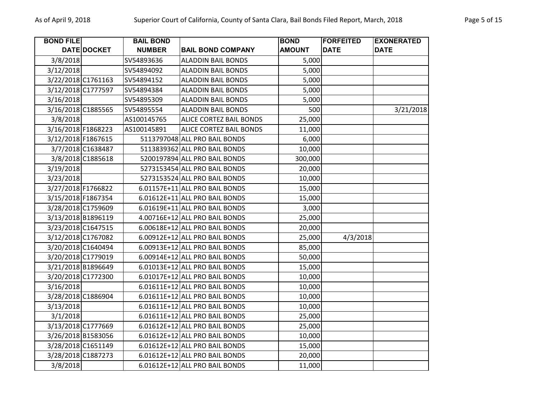| <b>BOND FILE</b> |                    | <b>BAIL BOND</b> |                                | <b>BOND</b>   | <b>FORFEITED</b> | <b>EXONERATED</b> |
|------------------|--------------------|------------------|--------------------------------|---------------|------------------|-------------------|
|                  | DATE DOCKET        | <b>NUMBER</b>    | <b>BAIL BOND COMPANY</b>       | <b>AMOUNT</b> | <b>DATE</b>      | <b>DATE</b>       |
| 3/8/2018         |                    | SV54893636       | <b>ALADDIN BAIL BONDS</b>      | 5,000         |                  |                   |
| 3/12/2018        |                    | SV54894092       | <b>ALADDIN BAIL BONDS</b>      | 5,000         |                  |                   |
|                  | 3/22/2018 C1761163 | SV54894152       | <b>ALADDIN BAIL BONDS</b>      | 5,000         |                  |                   |
|                  | 3/12/2018 C1777597 | SV54894384       | <b>ALADDIN BAIL BONDS</b>      | 5,000         |                  |                   |
| 3/16/2018        |                    | SV54895309       | <b>ALADDIN BAIL BONDS</b>      | 5,000         |                  |                   |
|                  | 3/16/2018 C1885565 | SV54895554       | <b>ALADDIN BAIL BONDS</b>      | 500           |                  | 3/21/2018         |
| 3/8/2018         |                    | AS100145765      | <b>ALICE CORTEZ BAIL BONDS</b> | 25,000        |                  |                   |
|                  | 3/16/2018 F1868223 | AS100145891      | ALICE CORTEZ BAIL BONDS        | 11,000        |                  |                   |
|                  | 3/12/2018 F1867615 |                  | 5113797048 ALL PRO BAIL BONDS  | 6,000         |                  |                   |
|                  | 3/7/2018 C1638487  |                  | 5113839362 ALL PRO BAIL BONDS  | 10,000        |                  |                   |
|                  | 3/8/2018 C1885618  |                  | 5200197894 ALL PRO BAIL BONDS  | 300,000       |                  |                   |
| 3/19/2018        |                    |                  | 5273153454 ALL PRO BAIL BONDS  | 20,000        |                  |                   |
| 3/23/2018        |                    |                  | 5273153524 ALL PRO BAIL BONDS  | 10,000        |                  |                   |
|                  | 3/27/2018 F1766822 |                  | 6.01157E+11 ALL PRO BAIL BONDS | 15,000        |                  |                   |
|                  | 3/15/2018 F1867354 |                  | 6.01612E+11 ALL PRO BAIL BONDS | 15,000        |                  |                   |
|                  | 3/28/2018 C1759609 |                  | 6.01619E+11 ALL PRO BAIL BONDS | 3,000         |                  |                   |
|                  | 3/13/2018 B1896119 |                  | 4.00716E+12 ALL PRO BAIL BONDS | 25,000        |                  |                   |
|                  | 3/23/2018 C1647515 |                  | 6.00618E+12 ALL PRO BAIL BONDS | 20,000        |                  |                   |
|                  | 3/12/2018 C1767082 |                  | 6.00912E+12 ALL PRO BAIL BONDS | 25,000        | 4/3/2018         |                   |
|                  | 3/20/2018 C1640494 |                  | 6.00913E+12 ALL PRO BAIL BONDS | 85,000        |                  |                   |
|                  | 3/20/2018 C1779019 |                  | 6.00914E+12 ALL PRO BAIL BONDS | 50,000        |                  |                   |
|                  | 3/21/2018 B1896649 |                  | 6.01013E+12 ALL PRO BAIL BONDS | 15,000        |                  |                   |
|                  | 3/20/2018 C1772300 |                  | 6.01017E+12 ALL PRO BAIL BONDS | 10,000        |                  |                   |
| 3/16/2018        |                    |                  | 6.01611E+12 ALL PRO BAIL BONDS | 10,000        |                  |                   |
|                  | 3/28/2018 C1886904 |                  | 6.01611E+12 ALL PRO BAIL BONDS | 10,000        |                  |                   |
| 3/13/2018        |                    |                  | 6.01611E+12 ALL PRO BAIL BONDS | 10,000        |                  |                   |
| 3/1/2018         |                    |                  | 6.01611E+12 ALL PRO BAIL BONDS | 25,000        |                  |                   |
|                  | 3/13/2018 C1777669 |                  | 6.01612E+12 ALL PRO BAIL BONDS | 25,000        |                  |                   |
|                  | 3/26/2018 B1583056 |                  | 6.01612E+12 ALL PRO BAIL BONDS | 10,000        |                  |                   |
|                  | 3/28/2018 C1651149 |                  | 6.01612E+12 ALL PRO BAIL BONDS | 15,000        |                  |                   |
|                  | 3/28/2018 C1887273 |                  | 6.01612E+12 ALL PRO BAIL BONDS | 20,000        |                  |                   |
| 3/8/2018         |                    |                  | 6.01612E+12 ALL PRO BAIL BONDS | 11,000        |                  |                   |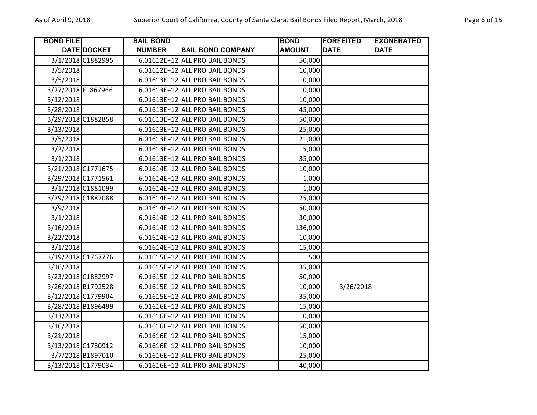| <b>BOND FILE</b>   |                   | <b>BAIL BOND</b> |                                | <b>BOND</b>   | <b>FORFEITED</b> | <b>EXONERATED</b> |
|--------------------|-------------------|------------------|--------------------------------|---------------|------------------|-------------------|
|                    | DATE DOCKET       | <b>NUMBER</b>    | <b>BAIL BOND COMPANY</b>       | <b>AMOUNT</b> | <b>DATE</b>      | <b>DATE</b>       |
|                    | 3/1/2018 C1882995 |                  | 6.01612E+12 ALL PRO BAIL BONDS | 50,000        |                  |                   |
| 3/5/2018           |                   |                  | 6.01612E+12 ALL PRO BAIL BONDS | 10,000        |                  |                   |
| 3/5/2018           |                   |                  | 6.01613E+12 ALL PRO BAIL BONDS | 10,000        |                  |                   |
| 3/27/2018 F1867966 |                   |                  | 6.01613E+12 ALL PRO BAIL BONDS | 10,000        |                  |                   |
| 3/12/2018          |                   |                  | 6.01613E+12 ALL PRO BAIL BONDS | 10,000        |                  |                   |
| 3/28/2018          |                   |                  | 6.01613E+12 ALL PRO BAIL BONDS | 45,000        |                  |                   |
| 3/29/2018 C1882858 |                   |                  | 6.01613E+12 ALL PRO BAIL BONDS | 50,000        |                  |                   |
| 3/13/2018          |                   |                  | 6.01613E+12 ALL PRO BAIL BONDS | 25,000        |                  |                   |
| 3/5/2018           |                   |                  | 6.01613E+12 ALL PRO BAIL BONDS | 21,000        |                  |                   |
| 3/2/2018           |                   |                  | 6.01613E+12 ALL PRO BAIL BONDS | 5,000         |                  |                   |
| 3/1/2018           |                   |                  | 6.01613E+12 ALL PRO BAIL BONDS | 35,000        |                  |                   |
| 3/21/2018 C1771675 |                   |                  | 6.01614E+12 ALL PRO BAIL BONDS | 10,000        |                  |                   |
| 3/29/2018 C1771561 |                   |                  | 6.01614E+12 ALL PRO BAIL BONDS | 1,000         |                  |                   |
|                    | 3/1/2018 C1881099 |                  | 6.01614E+12 ALL PRO BAIL BONDS | 1,000         |                  |                   |
| 3/29/2018 C1887088 |                   |                  | 6.01614E+12 ALL PRO BAIL BONDS | 25,000        |                  |                   |
| 3/9/2018           |                   |                  | 6.01614E+12 ALL PRO BAIL BONDS | 50,000        |                  |                   |
| 3/1/2018           |                   |                  | 6.01614E+12 ALL PRO BAIL BONDS | 30,000        |                  |                   |
| 3/16/2018          |                   |                  | 6.01614E+12 ALL PRO BAIL BONDS | 136,000       |                  |                   |
| 3/22/2018          |                   |                  | 6.01614E+12 ALL PRO BAIL BONDS | 10,000        |                  |                   |
| 3/1/2018           |                   |                  | 6.01614E+12 ALL PRO BAIL BONDS | 15,000        |                  |                   |
| 3/19/2018 C1767776 |                   |                  | 6.01615E+12 ALL PRO BAIL BONDS | 500           |                  |                   |
| 3/16/2018          |                   |                  | 6.01615E+12 ALL PRO BAIL BONDS | 35,000        |                  |                   |
| 3/23/2018 C1882997 |                   |                  | 6.01615E+12 ALL PRO BAIL BONDS | 50,000        |                  |                   |
| 3/26/2018 B1792528 |                   |                  | 6.01615E+12 ALL PRO BAIL BONDS | 10,000        | 3/26/2018        |                   |
| 3/12/2018 C1779904 |                   |                  | 6.01615E+12 ALL PRO BAIL BONDS | 35,000        |                  |                   |
| 3/28/2018 B1896499 |                   |                  | 6.01616E+12 ALL PRO BAIL BONDS | 15,000        |                  |                   |
| 3/13/2018          |                   |                  | 6.01616E+12 ALL PRO BAIL BONDS | 10,000        |                  |                   |
| 3/16/2018          |                   |                  | 6.01616E+12 ALL PRO BAIL BONDS | 50,000        |                  |                   |
| 3/21/2018          |                   |                  | 6.01616E+12 ALL PRO BAIL BONDS | 15,000        |                  |                   |
| 3/13/2018 C1780912 |                   |                  | 6.01616E+12 ALL PRO BAIL BONDS | 10,000        |                  |                   |
|                    | 3/7/2018 B1897010 |                  | 6.01616E+12 ALL PRO BAIL BONDS | 25,000        |                  |                   |
| 3/13/2018 C1779034 |                   |                  | 6.01616E+12 ALL PRO BAIL BONDS | 40,000        |                  |                   |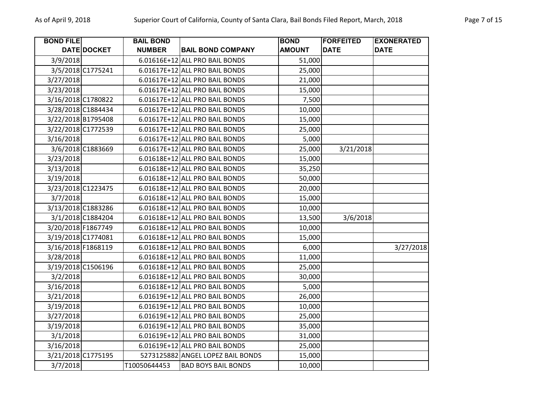| <b>BOND FILE</b>   |                   | <b>BAIL BOND</b> |                                   | <b>BOND</b>   | <b>FORFEITED</b> | <b>EXONERATED</b> |
|--------------------|-------------------|------------------|-----------------------------------|---------------|------------------|-------------------|
|                    | DATE DOCKET       | <b>NUMBER</b>    | <b>BAIL BOND COMPANY</b>          | <b>AMOUNT</b> | <b>DATE</b>      | <b>DATE</b>       |
| 3/9/2018           |                   |                  | 6.01616E+12 ALL PRO BAIL BONDS    | 51,000        |                  |                   |
|                    | 3/5/2018 C1775241 |                  | 6.01617E+12 ALL PRO BAIL BONDS    | 25,000        |                  |                   |
| 3/27/2018          |                   |                  | 6.01617E+12 ALL PRO BAIL BONDS    | 21,000        |                  |                   |
| 3/23/2018          |                   |                  | 6.01617E+12 ALL PRO BAIL BONDS    | 15,000        |                  |                   |
| 3/16/2018 C1780822 |                   |                  | 6.01617E+12 ALL PRO BAIL BONDS    | 7,500         |                  |                   |
| 3/28/2018 C1884434 |                   |                  | 6.01617E+12 ALL PRO BAIL BONDS    | 10,000        |                  |                   |
| 3/22/2018 B1795408 |                   |                  | 6.01617E+12 ALL PRO BAIL BONDS    | 15,000        |                  |                   |
| 3/22/2018 C1772539 |                   |                  | 6.01617E+12 ALL PRO BAIL BONDS    | 25,000        |                  |                   |
| 3/16/2018          |                   |                  | 6.01617E+12 ALL PRO BAIL BONDS    | 5,000         |                  |                   |
|                    | 3/6/2018 C1883669 |                  | 6.01617E+12 ALL PRO BAIL BONDS    | 25,000        | 3/21/2018        |                   |
| 3/23/2018          |                   |                  | 6.01618E+12 ALL PRO BAIL BONDS    | 15,000        |                  |                   |
| 3/13/2018          |                   |                  | 6.01618E+12 ALL PRO BAIL BONDS    | 35,250        |                  |                   |
| 3/19/2018          |                   |                  | 6.01618E+12 ALL PRO BAIL BONDS    | 50,000        |                  |                   |
| 3/23/2018 C1223475 |                   |                  | 6.01618E+12 ALL PRO BAIL BONDS    | 20,000        |                  |                   |
| 3/7/2018           |                   |                  | 6.01618E+12 ALL PRO BAIL BONDS    | 15,000        |                  |                   |
| 3/13/2018 C1883286 |                   |                  | 6.01618E+12 ALL PRO BAIL BONDS    | 10,000        |                  |                   |
|                    | 3/1/2018 C1884204 |                  | 6.01618E+12 ALL PRO BAIL BONDS    | 13,500        | 3/6/2018         |                   |
| 3/20/2018 F1867749 |                   |                  | 6.01618E+12 ALL PRO BAIL BONDS    | 10,000        |                  |                   |
| 3/19/2018 C1774081 |                   |                  | 6.01618E+12 ALL PRO BAIL BONDS    | 15,000        |                  |                   |
| 3/16/2018 F1868119 |                   |                  | 6.01618E+12 ALL PRO BAIL BONDS    | 6,000         |                  | 3/27/2018         |
| 3/28/2018          |                   |                  | 6.01618E+12 ALL PRO BAIL BONDS    | 11,000        |                  |                   |
| 3/19/2018 C1506196 |                   |                  | 6.01618E+12 ALL PRO BAIL BONDS    | 25,000        |                  |                   |
| 3/2/2018           |                   |                  | 6.01618E+12 ALL PRO BAIL BONDS    | 30,000        |                  |                   |
| 3/16/2018          |                   |                  | 6.01618E+12 ALL PRO BAIL BONDS    | 5,000         |                  |                   |
| 3/21/2018          |                   |                  | 6.01619E+12 ALL PRO BAIL BONDS    | 26,000        |                  |                   |
| 3/19/2018          |                   |                  | 6.01619E+12 ALL PRO BAIL BONDS    | 10,000        |                  |                   |
| 3/27/2018          |                   |                  | 6.01619E+12 ALL PRO BAIL BONDS    | 25,000        |                  |                   |
| 3/19/2018          |                   |                  | 6.01619E+12 ALL PRO BAIL BONDS    | 35,000        |                  |                   |
| 3/1/2018           |                   |                  | 6.01619E+12 ALL PRO BAIL BONDS    | 31,000        |                  |                   |
| 3/16/2018          |                   |                  | 6.01619E+12 ALL PRO BAIL BONDS    | 25,000        |                  |                   |
| 3/21/2018 C1775195 |                   |                  | 5273125882 ANGEL LOPEZ BAIL BONDS | 15,000        |                  |                   |
| 3/7/2018           |                   | T10050644453     | <b>BAD BOYS BAIL BONDS</b>        | 10,000        |                  |                   |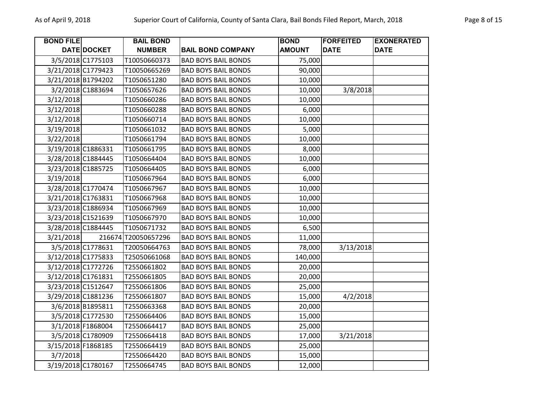| <b>BOND FILE</b>   |                    | <b>BAIL BOND</b>    |                            | <b>BOND</b>   | <b>FORFEITED</b> | <b>EXONERATED</b> |
|--------------------|--------------------|---------------------|----------------------------|---------------|------------------|-------------------|
|                    | DATE DOCKET        | <b>NUMBER</b>       | <b>BAIL BOND COMPANY</b>   | <b>AMOUNT</b> | <b>DATE</b>      | <b>DATE</b>       |
|                    | 3/5/2018 C1775103  | T10050660373        | <b>BAD BOYS BAIL BONDS</b> | 75,000        |                  |                   |
| 3/21/2018 C1779423 |                    | T10050665269        | <b>BAD BOYS BAIL BONDS</b> | 90,000        |                  |                   |
| 3/21/2018 B1794202 |                    | T1050651280         | <b>BAD BOYS BAIL BONDS</b> | 10,000        |                  |                   |
|                    | 3/2/2018 C1883694  | T1050657626         | <b>BAD BOYS BAIL BONDS</b> | 10,000        | 3/8/2018         |                   |
| 3/12/2018          |                    | T1050660286         | <b>BAD BOYS BAIL BONDS</b> | 10,000        |                  |                   |
| 3/12/2018          |                    | T1050660288         | <b>BAD BOYS BAIL BONDS</b> | 6,000         |                  |                   |
| 3/12/2018          |                    | T1050660714         | <b>BAD BOYS BAIL BONDS</b> | 10,000        |                  |                   |
| 3/19/2018          |                    | T1050661032         | <b>BAD BOYS BAIL BONDS</b> | 5,000         |                  |                   |
| 3/22/2018          |                    | T1050661794         | <b>BAD BOYS BAIL BONDS</b> | 10,000        |                  |                   |
| 3/19/2018 C1886331 |                    | T1050661795         | <b>BAD BOYS BAIL BONDS</b> | 8,000         |                  |                   |
| 3/28/2018 C1884445 |                    | T1050664404         | <b>BAD BOYS BAIL BONDS</b> | 10,000        |                  |                   |
| 3/23/2018 C1885725 |                    | T1050664405         | <b>BAD BOYS BAIL BONDS</b> | 6,000         |                  |                   |
| 3/19/2018          |                    | T1050667964         | <b>BAD BOYS BAIL BONDS</b> | 6,000         |                  |                   |
|                    | 3/28/2018 C1770474 | T1050667967         | <b>BAD BOYS BAIL BONDS</b> | 10,000        |                  |                   |
| 3/21/2018 C1763831 |                    | T1050667968         | <b>BAD BOYS BAIL BONDS</b> | 10,000        |                  |                   |
|                    | 3/23/2018 C1886934 | T1050667969         | <b>BAD BOYS BAIL BONDS</b> | 10,000        |                  |                   |
|                    | 3/23/2018 C1521639 | T1050667970         | <b>BAD BOYS BAIL BONDS</b> | 10,000        |                  |                   |
| 3/28/2018 C1884445 |                    | T1050671732         | <b>BAD BOYS BAIL BONDS</b> | 6,500         |                  |                   |
| 3/21/2018          |                    | 216674 T20050657296 | <b>BAD BOYS BAIL BONDS</b> | 11,000        |                  |                   |
|                    | 3/5/2018 C1778631  | T20050664763        | <b>BAD BOYS BAIL BONDS</b> | 78,000        | 3/13/2018        |                   |
|                    | 3/12/2018 C1775833 | T25050661068        | <b>BAD BOYS BAIL BONDS</b> | 140,000       |                  |                   |
| 3/12/2018 C1772726 |                    | T2550661802         | <b>BAD BOYS BAIL BONDS</b> | 20,000        |                  |                   |
| 3/12/2018 C1761831 |                    | T2550661805         | <b>BAD BOYS BAIL BONDS</b> | 20,000        |                  |                   |
| 3/23/2018 C1512647 |                    | T2550661806         | <b>BAD BOYS BAIL BONDS</b> | 25,000        |                  |                   |
|                    | 3/29/2018 C1881236 | T2550661807         | <b>BAD BOYS BAIL BONDS</b> | 15,000        | 4/2/2018         |                   |
|                    | 3/6/2018 B1895811  | T2550663368         | <b>BAD BOYS BAIL BONDS</b> | 20,000        |                  |                   |
|                    | 3/5/2018 C1772530  | T2550664406         | <b>BAD BOYS BAIL BONDS</b> | 15,000        |                  |                   |
|                    | 3/1/2018 F1868004  | T2550664417         | <b>BAD BOYS BAIL BONDS</b> | 25,000        |                  |                   |
|                    | 3/5/2018 C1780909  | T2550664418         | <b>BAD BOYS BAIL BONDS</b> | 17,000        | 3/21/2018        |                   |
| 3/15/2018 F1868185 |                    | T2550664419         | <b>BAD BOYS BAIL BONDS</b> | 25,000        |                  |                   |
| 3/7/2018           |                    | T2550664420         | <b>BAD BOYS BAIL BONDS</b> | 15,000        |                  |                   |
|                    | 3/19/2018 C1780167 | T2550664745         | <b>BAD BOYS BAIL BONDS</b> | 12,000        |                  |                   |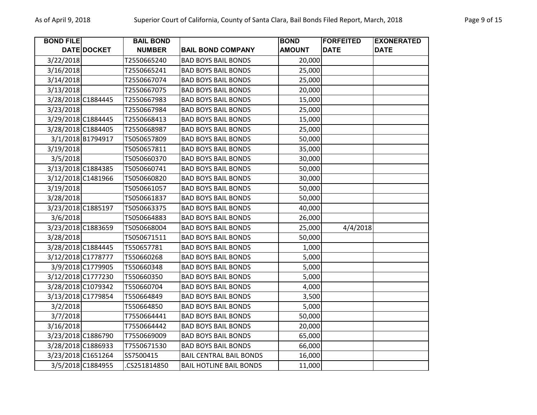| <b>BOND FILE</b>   |                    | <b>BAIL BOND</b> |                                | <b>BOND</b>   | <b>FORFEITED</b> | <b>EXONERATED</b> |
|--------------------|--------------------|------------------|--------------------------------|---------------|------------------|-------------------|
|                    | <b>DATE DOCKET</b> | <b>NUMBER</b>    | <b>BAIL BOND COMPANY</b>       | <b>AMOUNT</b> | <b>DATE</b>      | <b>DATE</b>       |
| 3/22/2018          |                    | T2550665240      | <b>BAD BOYS BAIL BONDS</b>     | 20,000        |                  |                   |
| 3/16/2018          |                    | T2550665241      | <b>BAD BOYS BAIL BONDS</b>     | 25,000        |                  |                   |
| 3/14/2018          |                    | T2550667074      | <b>BAD BOYS BAIL BONDS</b>     | 25,000        |                  |                   |
| 3/13/2018          |                    | T2550667075      | <b>BAD BOYS BAIL BONDS</b>     | 20,000        |                  |                   |
| 3/28/2018 C1884445 |                    | T2550667983      | <b>BAD BOYS BAIL BONDS</b>     | 15,000        |                  |                   |
| 3/23/2018          |                    | T2550667984      | <b>BAD BOYS BAIL BONDS</b>     | 25,000        |                  |                   |
| 3/29/2018 C1884445 |                    | T2550668413      | <b>BAD BOYS BAIL BONDS</b>     | 15,000        |                  |                   |
| 3/28/2018 C1884405 |                    | T2550668987      | <b>BAD BOYS BAIL BONDS</b>     | 25,000        |                  |                   |
|                    | 3/1/2018 B1794917  | T5050657809      | <b>BAD BOYS BAIL BONDS</b>     | 50,000        |                  |                   |
| 3/19/2018          |                    | T5050657811      | <b>BAD BOYS BAIL BONDS</b>     | 35,000        |                  |                   |
| 3/5/2018           |                    | T5050660370      | <b>BAD BOYS BAIL BONDS</b>     | 30,000        |                  |                   |
| 3/13/2018 C1884385 |                    | T5050660741      | <b>BAD BOYS BAIL BONDS</b>     | 50,000        |                  |                   |
| 3/12/2018 C1481966 |                    | T5050660820      | <b>BAD BOYS BAIL BONDS</b>     | 30,000        |                  |                   |
| 3/19/2018          |                    | T5050661057      | <b>BAD BOYS BAIL BONDS</b>     | 50,000        |                  |                   |
| 3/28/2018          |                    | T5050661837      | <b>BAD BOYS BAIL BONDS</b>     | 50,000        |                  |                   |
| 3/23/2018 C1885197 |                    | T5050663375      | <b>BAD BOYS BAIL BONDS</b>     | 40,000        |                  |                   |
| 3/6/2018           |                    | T5050664883      | <b>BAD BOYS BAIL BONDS</b>     | 26,000        |                  |                   |
| 3/23/2018 C1883659 |                    | T5050668004      | <b>BAD BOYS BAIL BONDS</b>     | 25,000        | 4/4/2018         |                   |
| 3/28/2018          |                    | T5050671511      | <b>BAD BOYS BAIL BONDS</b>     | 50,000        |                  |                   |
| 3/28/2018 C1884445 |                    | T550657781       | <b>BAD BOYS BAIL BONDS</b>     | 1,000         |                  |                   |
| 3/12/2018 C1778777 |                    | T550660268       | <b>BAD BOYS BAIL BONDS</b>     | 5,000         |                  |                   |
|                    | 3/9/2018 C1779905  | T550660348       | <b>BAD BOYS BAIL BONDS</b>     | 5,000         |                  |                   |
| 3/12/2018 C1777230 |                    | T550660350       | <b>BAD BOYS BAIL BONDS</b>     | 5,000         |                  |                   |
| 3/28/2018 C1079342 |                    | T550660704       | <b>BAD BOYS BAIL BONDS</b>     | 4,000         |                  |                   |
| 3/13/2018 C1779854 |                    | T550664849       | <b>BAD BOYS BAIL BONDS</b>     | 3,500         |                  |                   |
| 3/2/2018           |                    | T550664850       | <b>BAD BOYS BAIL BONDS</b>     | 5,000         |                  |                   |
| 3/7/2018           |                    | T7550664441      | <b>BAD BOYS BAIL BONDS</b>     | 50,000        |                  |                   |
| 3/16/2018          |                    | T7550664442      | <b>BAD BOYS BAIL BONDS</b>     | 20,000        |                  |                   |
| 3/23/2018 C1886790 |                    | T7550669009      | <b>BAD BOYS BAIL BONDS</b>     | 65,000        |                  |                   |
| 3/28/2018 C1886933 |                    | T7550671530      | <b>BAD BOYS BAIL BONDS</b>     | 66,000        |                  |                   |
| 3/23/2018 C1651264 |                    | SS7500415        | <b>BAIL CENTRAL BAIL BONDS</b> | 16,000        |                  |                   |
|                    | 3/5/2018 C1884955  | CS251814850      | <b>BAIL HOTLINE BAIL BONDS</b> | 11,000        |                  |                   |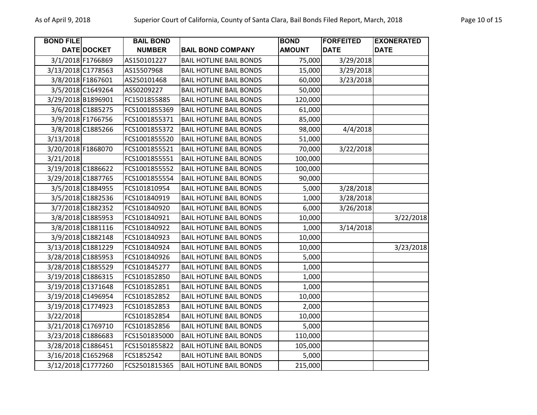| <b>BOND FILE</b> |                    | <b>BAIL BOND</b> |                                | <b>BOND</b>   | <b>FORFEITED</b> | <b>EXONERATED</b> |
|------------------|--------------------|------------------|--------------------------------|---------------|------------------|-------------------|
|                  | DATE DOCKET        | <b>NUMBER</b>    | <b>BAIL BOND COMPANY</b>       | <b>AMOUNT</b> | <b>DATE</b>      | <b>DATE</b>       |
|                  | 3/1/2018 F1766869  | AS150101227      | <b>BAIL HOTLINE BAIL BONDS</b> | 75,000        | 3/29/2018        |                   |
|                  | 3/13/2018 C1778563 | AS15507968       | <b>BAIL HOTLINE BAIL BONDS</b> | 15,000        | 3/29/2018        |                   |
|                  | 3/8/2018 F1867601  | AS250101468      | <b>BAIL HOTLINE BAIL BONDS</b> | 60,000        | 3/23/2018        |                   |
|                  | 3/5/2018 C1649264  | AS50209227       | <b>BAIL HOTLINE BAIL BONDS</b> | 50,000        |                  |                   |
|                  | 3/29/2018 B1896901 | FC1501855885     | <b>BAIL HOTLINE BAIL BONDS</b> | 120,000       |                  |                   |
|                  | 3/6/2018 C1885275  | FCS1001855369    | <b>BAIL HOTLINE BAIL BONDS</b> | 61,000        |                  |                   |
|                  | 3/9/2018 F1766756  | FCS1001855371    | <b>BAIL HOTLINE BAIL BONDS</b> | 85,000        |                  |                   |
|                  | 3/8/2018 C1885266  | FCS1001855372    | <b>BAIL HOTLINE BAIL BONDS</b> | 98,000        | 4/4/2018         |                   |
| 3/13/2018        |                    | FCS1001855520    | <b>BAIL HOTLINE BAIL BONDS</b> | 51,000        |                  |                   |
|                  | 3/20/2018 F1868070 | FCS1001855521    | <b>BAIL HOTLINE BAIL BONDS</b> | 70,000        | 3/22/2018        |                   |
| 3/21/2018        |                    | FCS1001855551    | <b>BAIL HOTLINE BAIL BONDS</b> | 100,000       |                  |                   |
|                  | 3/19/2018 C1886622 | FCS1001855552    | <b>BAIL HOTLINE BAIL BONDS</b> | 100,000       |                  |                   |
|                  | 3/29/2018 C1887765 | FCS1001855554    | <b>BAIL HOTLINE BAIL BONDS</b> | 90,000        |                  |                   |
|                  | 3/5/2018 C1884955  | FCS101810954     | <b>BAIL HOTLINE BAIL BONDS</b> | 5,000         | 3/28/2018        |                   |
|                  | 3/5/2018 C1882536  | FCS101840919     | <b>BAIL HOTLINE BAIL BONDS</b> | 1,000         | 3/28/2018        |                   |
|                  | 3/7/2018 C1882352  | FCS101840920     | <b>BAIL HOTLINE BAIL BONDS</b> | 6,000         | 3/26/2018        |                   |
|                  | 3/8/2018 C1885953  | FCS101840921     | <b>BAIL HOTLINE BAIL BONDS</b> | 10,000        |                  | 3/22/2018         |
|                  | 3/8/2018 C1881116  | FCS101840922     | <b>BAIL HOTLINE BAIL BONDS</b> | 1,000         | 3/14/2018        |                   |
|                  | 3/9/2018 C1882148  | FCS101840923     | <b>BAIL HOTLINE BAIL BONDS</b> | 10,000        |                  |                   |
|                  | 3/13/2018 C1881229 | FCS101840924     | <b>BAIL HOTLINE BAIL BONDS</b> | 10,000        |                  | 3/23/2018         |
|                  | 3/28/2018 C1885953 | FCS101840926     | <b>BAIL HOTLINE BAIL BONDS</b> | 5,000         |                  |                   |
|                  | 3/28/2018 C1885529 | FCS101845277     | <b>BAIL HOTLINE BAIL BONDS</b> | 1,000         |                  |                   |
|                  | 3/19/2018 C1886315 | FCS101852850     | <b>BAIL HOTLINE BAIL BONDS</b> | 1,000         |                  |                   |
|                  | 3/19/2018 C1371648 | FCS101852851     | <b>BAIL HOTLINE BAIL BONDS</b> | 1,000         |                  |                   |
|                  | 3/19/2018 C1496954 | FCS101852852     | <b>BAIL HOTLINE BAIL BONDS</b> | 10,000        |                  |                   |
|                  | 3/19/2018 C1774923 | FCS101852853     | <b>BAIL HOTLINE BAIL BONDS</b> | 2,000         |                  |                   |
| 3/22/2018        |                    | FCS101852854     | <b>BAIL HOTLINE BAIL BONDS</b> | 10,000        |                  |                   |
|                  | 3/21/2018 C1769710 | FCS101852856     | <b>BAIL HOTLINE BAIL BONDS</b> | 5,000         |                  |                   |
|                  | 3/23/2018 C1886683 | FCS1501835000    | <b>BAIL HOTLINE BAIL BONDS</b> | 110,000       |                  |                   |
|                  | 3/28/2018 C1886451 | FCS1501855822    | <b>BAIL HOTLINE BAIL BONDS</b> | 105,000       |                  |                   |
|                  | 3/16/2018 C1652968 | FCS1852542       | <b>BAIL HOTLINE BAIL BONDS</b> | 5,000         |                  |                   |
|                  | 3/12/2018 C1777260 | FCS2501815365    | <b>BAIL HOTLINE BAIL BONDS</b> | 215,000       |                  |                   |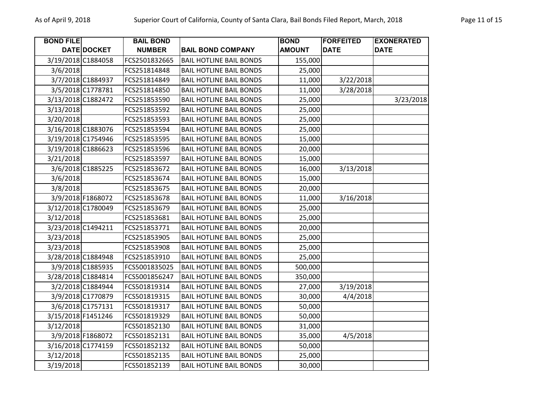| <b>BOND FILE</b> |                    | <b>BAIL BOND</b> |                                | <b>BOND</b>   | <b>FORFEITED</b> | <b>EXONERATED</b> |
|------------------|--------------------|------------------|--------------------------------|---------------|------------------|-------------------|
|                  | DATE DOCKET        | <b>NUMBER</b>    | <b>BAIL BOND COMPANY</b>       | <b>AMOUNT</b> | <b>DATE</b>      | <b>DATE</b>       |
|                  | 3/19/2018 C1884058 | FCS2501832665    | <b>BAIL HOTLINE BAIL BONDS</b> | 155,000       |                  |                   |
| 3/6/2018         |                    | FCS251814848     | <b>BAIL HOTLINE BAIL BONDS</b> | 25,000        |                  |                   |
|                  | 3/7/2018 C1884937  | FCS251814849     | <b>BAIL HOTLINE BAIL BONDS</b> | 11,000        | 3/22/2018        |                   |
|                  | 3/5/2018 C1778781  | FCS251814850     | <b>BAIL HOTLINE BAIL BONDS</b> | 11,000        | 3/28/2018        |                   |
|                  | 3/13/2018 C1882472 | FCS251853590     | <b>BAIL HOTLINE BAIL BONDS</b> | 25,000        |                  | 3/23/2018         |
| 3/13/2018        |                    | FCS251853592     | <b>BAIL HOTLINE BAIL BONDS</b> | 25,000        |                  |                   |
| 3/20/2018        |                    | FCS251853593     | <b>BAIL HOTLINE BAIL BONDS</b> | 25,000        |                  |                   |
|                  | 3/16/2018 C1883076 | FCS251853594     | <b>BAIL HOTLINE BAIL BONDS</b> | 25,000        |                  |                   |
|                  | 3/19/2018 C1754946 | FCS251853595     | <b>BAIL HOTLINE BAIL BONDS</b> | 15,000        |                  |                   |
|                  | 3/19/2018 C1886623 | FCS251853596     | <b>BAIL HOTLINE BAIL BONDS</b> | 20,000        |                  |                   |
| 3/21/2018        |                    | FCS251853597     | <b>BAIL HOTLINE BAIL BONDS</b> | 15,000        |                  |                   |
|                  | 3/6/2018 C1885225  | FCS251853672     | <b>BAIL HOTLINE BAIL BONDS</b> | 16,000        | 3/13/2018        |                   |
| 3/6/2018         |                    | FCS251853674     | <b>BAIL HOTLINE BAIL BONDS</b> | 15,000        |                  |                   |
| 3/8/2018         |                    | FCS251853675     | <b>BAIL HOTLINE BAIL BONDS</b> | 20,000        |                  |                   |
|                  | 3/9/2018 F1868072  | FCS251853678     | <b>BAIL HOTLINE BAIL BONDS</b> | 11,000        | 3/16/2018        |                   |
|                  | 3/12/2018 C1780049 | FCS251853679     | <b>BAIL HOTLINE BAIL BONDS</b> | 25,000        |                  |                   |
| 3/12/2018        |                    | FCS251853681     | <b>BAIL HOTLINE BAIL BONDS</b> | 25,000        |                  |                   |
|                  | 3/23/2018 C1494211 | FCS251853771     | <b>BAIL HOTLINE BAIL BONDS</b> | 20,000        |                  |                   |
| 3/23/2018        |                    | FCS251853905     | <b>BAIL HOTLINE BAIL BONDS</b> | 25,000        |                  |                   |
| 3/23/2018        |                    | FCS251853908     | <b>BAIL HOTLINE BAIL BONDS</b> | 25,000        |                  |                   |
|                  | 3/28/2018 C1884948 | FCS251853910     | <b>BAIL HOTLINE BAIL BONDS</b> | 25,000        |                  |                   |
|                  | 3/9/2018 C1885935  | FCS5001835025    | <b>BAIL HOTLINE BAIL BONDS</b> | 500,000       |                  |                   |
|                  | 3/28/2018 C1884814 | FCS5001856247    | <b>BAIL HOTLINE BAIL BONDS</b> | 350,000       |                  |                   |
|                  | 3/2/2018 C1884944  | FCS501819314     | <b>BAIL HOTLINE BAIL BONDS</b> | 27,000        | 3/19/2018        |                   |
|                  | 3/9/2018 C1770879  | FCS501819315     | <b>BAIL HOTLINE BAIL BONDS</b> | 30,000        | 4/4/2018         |                   |
|                  | 3/6/2018 C1757131  | FCS501819317     | <b>BAIL HOTLINE BAIL BONDS</b> | 50,000        |                  |                   |
|                  | 3/15/2018 F1451246 | FCS501819329     | <b>BAIL HOTLINE BAIL BONDS</b> | 50,000        |                  |                   |
| 3/12/2018        |                    | FCS501852130     | <b>BAIL HOTLINE BAIL BONDS</b> | 31,000        |                  |                   |
|                  | 3/9/2018 F1868072  | FCS501852131     | <b>BAIL HOTLINE BAIL BONDS</b> | 35,000        | 4/5/2018         |                   |
|                  | 3/16/2018 C1774159 | FCS501852132     | <b>BAIL HOTLINE BAIL BONDS</b> | 50,000        |                  |                   |
| 3/12/2018        |                    | FCS501852135     | <b>BAIL HOTLINE BAIL BONDS</b> | 25,000        |                  |                   |
| 3/19/2018        |                    | FCS501852139     | <b>BAIL HOTLINE BAIL BONDS</b> | 30,000        |                  |                   |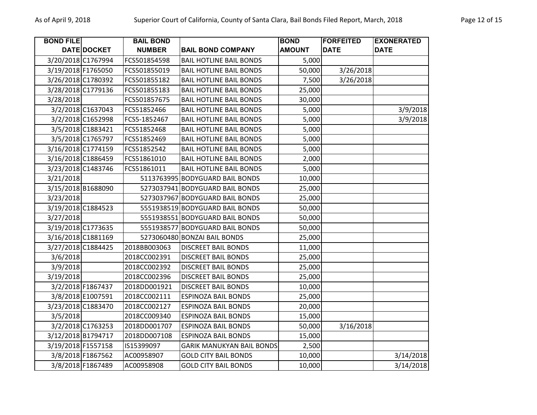| <b>BOND FILE</b> |                    | <b>BAIL BOND</b> |                                  | <b>BOND</b>   | <b>FORFEITED</b> | <b>EXONERATED</b> |
|------------------|--------------------|------------------|----------------------------------|---------------|------------------|-------------------|
|                  | DATE DOCKET        | <b>NUMBER</b>    | <b>BAIL BOND COMPANY</b>         | <b>AMOUNT</b> | <b>DATE</b>      | <b>DATE</b>       |
|                  | 3/20/2018 C1767994 | FCS501854598     | <b>BAIL HOTLINE BAIL BONDS</b>   | 5,000         |                  |                   |
|                  | 3/19/2018 F1765050 | FCS501855019     | <b>BAIL HOTLINE BAIL BONDS</b>   | 50,000        | 3/26/2018        |                   |
|                  | 3/26/2018 C1780392 | FCS501855182     | <b>BAIL HOTLINE BAIL BONDS</b>   | 7,500         | 3/26/2018        |                   |
|                  | 3/28/2018 C1779136 | FCS501855183     | <b>BAIL HOTLINE BAIL BONDS</b>   | 25,000        |                  |                   |
| 3/28/2018        |                    | FCS501857675     | <b>BAIL HOTLINE BAIL BONDS</b>   | 30,000        |                  |                   |
|                  | 3/2/2018 C1637043  | FCS51852466      | <b>BAIL HOTLINE BAIL BONDS</b>   | 5,000         |                  | 3/9/2018          |
|                  | 3/2/2018 C1652998  | FCS5-1852467     | <b>BAIL HOTLINE BAIL BONDS</b>   | 5,000         |                  | 3/9/2018          |
|                  | 3/5/2018 C1883421  | FCS51852468      | <b>BAIL HOTLINE BAIL BONDS</b>   | 5,000         |                  |                   |
|                  | 3/5/2018 C1765797  | FCS51852469      | <b>BAIL HOTLINE BAIL BONDS</b>   | 5,000         |                  |                   |
|                  | 3/16/2018 C1774159 | FCS51852542      | <b>BAIL HOTLINE BAIL BONDS</b>   | 5,000         |                  |                   |
|                  | 3/16/2018 C1886459 | FCS51861010      | <b>BAIL HOTLINE BAIL BONDS</b>   | 2,000         |                  |                   |
|                  | 3/23/2018 C1483746 | FCS51861011      | <b>BAIL HOTLINE BAIL BONDS</b>   | 5,000         |                  |                   |
| 3/21/2018        |                    |                  | 5113763995 BODYGUARD BAIL BONDS  | 10,000        |                  |                   |
|                  | 3/15/2018 B1688090 |                  | 5273037941 BODYGUARD BAIL BONDS  | 25,000        |                  |                   |
| 3/23/2018        |                    |                  | 5273037967 BODYGUARD BAIL BONDS  | 25,000        |                  |                   |
|                  | 3/19/2018 C1884523 |                  | 5551938519 BODYGUARD BAIL BONDS  | 50,000        |                  |                   |
| 3/27/2018        |                    |                  | 5551938551 BODYGUARD BAIL BONDS  | 50,000        |                  |                   |
|                  | 3/19/2018 C1773635 |                  | 5551938577 BODYGUARD BAIL BONDS  | 50,000        |                  |                   |
|                  | 3/16/2018 C1881169 |                  | 5273060480 BONZAI BAIL BONDS     | 25,000        |                  |                   |
|                  | 3/27/2018 C1884425 | 2018BB003063     | <b>DISCREET BAIL BONDS</b>       | 11,000        |                  |                   |
| 3/6/2018         |                    | 2018CC002391     | <b>DISCREET BAIL BONDS</b>       | 25,000        |                  |                   |
| 3/9/2018         |                    | 2018CC002392     | <b>DISCREET BAIL BONDS</b>       | 25,000        |                  |                   |
| 3/19/2018        |                    | 2018CC002396     | <b>DISCREET BAIL BONDS</b>       | 25,000        |                  |                   |
|                  | 3/2/2018 F1867437  | 2018DD001921     | <b>DISCREET BAIL BONDS</b>       | 10,000        |                  |                   |
|                  | 3/8/2018 E1007591  | 2018CC002111     | <b>ESPINOZA BAIL BONDS</b>       | 25,000        |                  |                   |
|                  | 3/23/2018 C1883470 | 2018CC002127     | <b>ESPINOZA BAIL BONDS</b>       | 20,000        |                  |                   |
| 3/5/2018         |                    | 2018CC009340     | <b>ESPINOZA BAIL BONDS</b>       | 15,000        |                  |                   |
|                  | 3/2/2018 C1763253  | 2018DD001707     | <b>ESPINOZA BAIL BONDS</b>       | 50,000        | 3/16/2018        |                   |
|                  | 3/12/2018 B1794717 | 2018DD007108     | <b>ESPINOZA BAIL BONDS</b>       | 15,000        |                  |                   |
|                  | 3/19/2018 F1557158 | IS15399097       | <b>GARIK MANUKYAN BAIL BONDS</b> | 2,500         |                  |                   |
|                  | 3/8/2018 F1867562  | AC00958907       | <b>GOLD CITY BAIL BONDS</b>      | 10,000        |                  | 3/14/2018         |
|                  | 3/8/2018 F1867489  | AC00958908       | <b>GOLD CITY BAIL BONDS</b>      | 10,000        |                  | 3/14/2018         |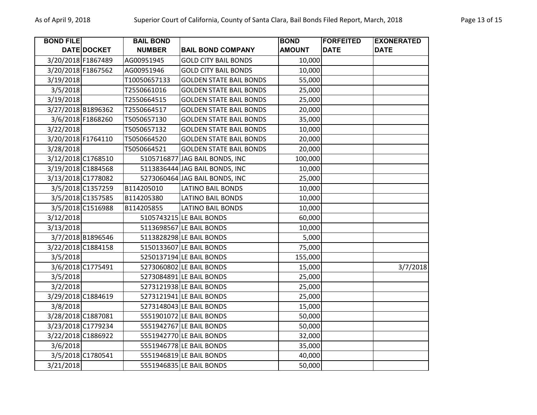| <b>BOND FILE</b>   |                    | <b>BAIL BOND</b> |                                | <b>BOND</b>   | <b>FORFEITED</b> | <b>EXONERATED</b> |
|--------------------|--------------------|------------------|--------------------------------|---------------|------------------|-------------------|
|                    | DATE DOCKET        | <b>NUMBER</b>    | <b>BAIL BOND COMPANY</b>       | <b>AMOUNT</b> | <b>DATE</b>      | <b>DATE</b>       |
|                    | 3/20/2018 F1867489 | AG00951945       | <b>GOLD CITY BAIL BONDS</b>    | 10,000        |                  |                   |
| 3/20/2018 F1867562 |                    | AG00951946       | <b>GOLD CITY BAIL BONDS</b>    | 10,000        |                  |                   |
| 3/19/2018          |                    | T10050657133     | <b>GOLDEN STATE BAIL BONDS</b> | 55,000        |                  |                   |
| 3/5/2018           |                    | T2550661016      | <b>GOLDEN STATE BAIL BONDS</b> | 25,000        |                  |                   |
| 3/19/2018          |                    | T2550664515      | <b>GOLDEN STATE BAIL BONDS</b> | 25,000        |                  |                   |
|                    | 3/27/2018 B1896362 | T2550664517      | <b>GOLDEN STATE BAIL BONDS</b> | 20,000        |                  |                   |
|                    | 3/6/2018 F1868260  | T5050657130      | <b>GOLDEN STATE BAIL BONDS</b> | 35,000        |                  |                   |
| 3/22/2018          |                    | T5050657132      | <b>GOLDEN STATE BAIL BONDS</b> | 10,000        |                  |                   |
|                    | 3/20/2018 F1764110 | T5050664520      | <b>GOLDEN STATE BAIL BONDS</b> | 20,000        |                  |                   |
| 3/28/2018          |                    | T5050664521      | <b>GOLDEN STATE BAIL BONDS</b> | 20,000        |                  |                   |
|                    | 3/12/2018 C1768510 |                  | 5105716877 JAG BAIL BONDS, INC | 100,000       |                  |                   |
|                    | 3/19/2018 C1884568 |                  | 5113836444 JAG BAIL BONDS, INC | 10,000        |                  |                   |
|                    | 3/13/2018 C1778082 |                  | 5273060464 JAG BAIL BONDS, INC | 25,000        |                  |                   |
|                    | 3/5/2018 C1357259  | B114205010       | <b>LATINO BAIL BONDS</b>       | 10,000        |                  |                   |
|                    | 3/5/2018 C1357585  | B114205380       | <b>LATINO BAIL BONDS</b>       | 10,000        |                  |                   |
|                    | 3/5/2018 C1516988  | B114205855       | <b>LATINO BAIL BONDS</b>       | 10,000        |                  |                   |
| 3/12/2018          |                    |                  | 5105743215 LE BAIL BONDS       | 60,000        |                  |                   |
| 3/13/2018          |                    |                  | 5113698567 LE BAIL BONDS       | 10,000        |                  |                   |
|                    | 3/7/2018 B1896546  |                  | 5113828298 LE BAIL BONDS       | 5,000         |                  |                   |
|                    | 3/22/2018 C1884158 |                  | 5150133607 LE BAIL BONDS       | 75,000        |                  |                   |
| 3/5/2018           |                    |                  | 5250137194 LE BAIL BONDS       | 155,000       |                  |                   |
|                    | 3/6/2018 C1775491  |                  | 5273060802 LE BAIL BONDS       | 15,000        |                  | 3/7/2018          |
| 3/5/2018           |                    |                  | 5273084891 LE BAIL BONDS       | 25,000        |                  |                   |
| 3/2/2018           |                    |                  | 5273121938 LE BAIL BONDS       | 25,000        |                  |                   |
|                    | 3/29/2018 C1884619 |                  | 5273121941 LE BAIL BONDS       | 25,000        |                  |                   |
| 3/8/2018           |                    |                  | 5273148043 LE BAIL BONDS       | 15,000        |                  |                   |
|                    | 3/28/2018 C1887081 |                  | 5551901072 LE BAIL BONDS       | 50,000        |                  |                   |
|                    | 3/23/2018 C1779234 |                  | 5551942767 LE BAIL BONDS       | 50,000        |                  |                   |
|                    | 3/22/2018 C1886922 |                  | 5551942770 LE BAIL BONDS       | 32,000        |                  |                   |
| 3/6/2018           |                    |                  | 5551946778 LE BAIL BONDS       | 35,000        |                  |                   |
|                    | 3/5/2018 C1780541  |                  | 5551946819 LE BAIL BONDS       | 40,000        |                  |                   |
| 3/21/2018          |                    |                  | 5551946835 LE BAIL BONDS       | 50,000        |                  |                   |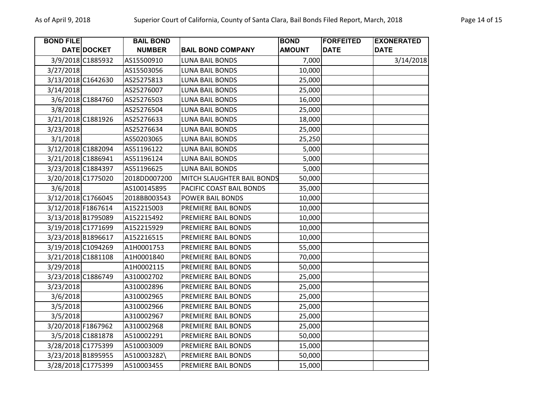| <b>BOND FILE</b> |                    | <b>BAIL BOND</b> |                            | <b>BOND</b>   | <b>FORFEITED</b> | <b>EXONERATED</b> |
|------------------|--------------------|------------------|----------------------------|---------------|------------------|-------------------|
|                  | DATE DOCKET        | <b>NUMBER</b>    | <b>BAIL BOND COMPANY</b>   | <b>AMOUNT</b> | <b>DATE</b>      | <b>DATE</b>       |
|                  | 3/9/2018 C1885932  | AS15500910       | <b>LUNA BAIL BONDS</b>     | 7,000         |                  | 3/14/2018         |
| 3/27/2018        |                    | AS15503056       | <b>LUNA BAIL BONDS</b>     | 10,000        |                  |                   |
|                  | 3/13/2018 C1642630 | AS25275813       | LUNA BAIL BONDS            | 25,000        |                  |                   |
| 3/14/2018        |                    | AS25276007       | LUNA BAIL BONDS            | 25,000        |                  |                   |
|                  | 3/6/2018 C1884760  | AS25276503       | LUNA BAIL BONDS            | 16,000        |                  |                   |
| 3/8/2018         |                    | AS25276504       | <b>LUNA BAIL BONDS</b>     | 25,000        |                  |                   |
|                  | 3/21/2018 C1881926 | AS25276633       | <b>LUNA BAIL BONDS</b>     | 18,000        |                  |                   |
| 3/23/2018        |                    | AS25276634       | <b>LUNA BAIL BONDS</b>     | 25,000        |                  |                   |
| 3/1/2018         |                    | AS50203065       | LUNA BAIL BONDS            | 25,250        |                  |                   |
|                  | 3/12/2018 C1882094 | AS51196122       | LUNA BAIL BONDS            | 5,000         |                  |                   |
|                  | 3/21/2018 C1886941 | AS51196124       | <b>LUNA BAIL BONDS</b>     | 5,000         |                  |                   |
|                  | 3/23/2018 C1884397 | AS51196625       | LUNA BAIL BONDS            | 5,000         |                  |                   |
|                  | 3/20/2018 C1775020 | 2018DD007200     | MITCH SLAUGHTER BAIL BONDS | 50,000        |                  |                   |
| 3/6/2018         |                    | AS100145895      | PACIFIC COAST BAIL BONDS   | 35,000        |                  |                   |
|                  | 3/12/2018 C1766045 | 2018BB003543     | POWER BAIL BONDS           | 10,000        |                  |                   |
|                  | 3/12/2018 F1867614 | A152215003       | PREMIERE BAIL BONDS        | 10,000        |                  |                   |
|                  | 3/13/2018 B1795089 | A152215492       | PREMIERE BAIL BONDS        | 10,000        |                  |                   |
|                  | 3/19/2018 C1771699 | A152215929       | PREMIERE BAIL BONDS        | 10,000        |                  |                   |
|                  | 3/23/2018 B1896617 | A152216515       | PREMIERE BAIL BONDS        | 10,000        |                  |                   |
|                  | 3/19/2018 C1094269 | A1H0001753       | PREMIERE BAIL BONDS        | 55,000        |                  |                   |
|                  | 3/21/2018 C1881108 | A1H0001840       | PREMIERE BAIL BONDS        | 70,000        |                  |                   |
| 3/29/2018        |                    | A1H0002115       | PREMIERE BAIL BONDS        | 50,000        |                  |                   |
|                  | 3/23/2018 C1886749 | A310002702       | PREMIERE BAIL BONDS        | 25,000        |                  |                   |
| 3/23/2018        |                    | A310002896       | PREMIERE BAIL BONDS        | 25,000        |                  |                   |
| 3/6/2018         |                    | A310002965       | PREMIERE BAIL BONDS        | 25,000        |                  |                   |
| 3/5/2018         |                    | A310002966       | PREMIERE BAIL BONDS        | 25,000        |                  |                   |
| 3/5/2018         |                    | A310002967       | PREMIERE BAIL BONDS        | 25,000        |                  |                   |
|                  | 3/20/2018 F1867962 | A310002968       | PREMIERE BAIL BONDS        | 25,000        |                  |                   |
|                  | 3/5/2018 C1881878  | A510002291       | PREMIERE BAIL BONDS        | 50,000        |                  |                   |
|                  | 3/28/2018 C1775399 | A510003009       | PREMIERE BAIL BONDS        | 15,000        |                  |                   |
|                  | 3/23/2018 B1895955 | A510003282\      | PREMIERE BAIL BONDS        | 50,000        |                  |                   |
|                  | 3/28/2018 C1775399 | A510003455       | PREMIERE BAIL BONDS        | 15,000        |                  |                   |